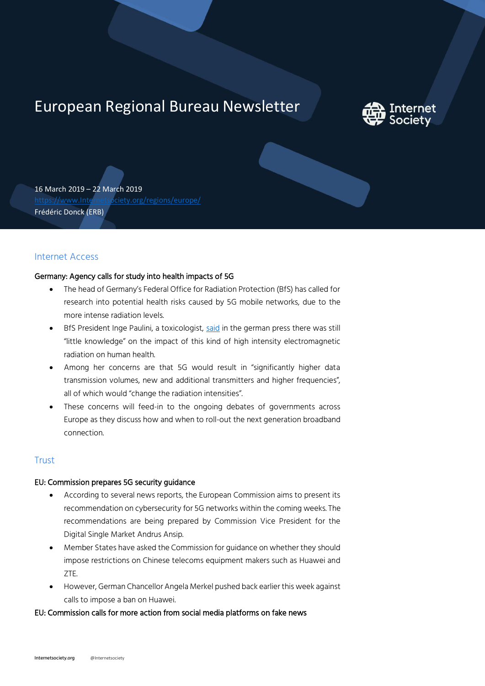# European Regional Bureau Newsletter



16 March 2019 – 22 March 2019 [https://www.Internetsociety.org/regions/europe/](https://www.internetsociety.org/regions/europe/) Frédéric Donck (ERB)

## Internet Access

### Germany: Agency calls for study into health impacts of 5G

- The head of Germany's Federal Office for Radiation Protection (BfS) has called for research into potential health risks caused by 5G mobile networks, due to the more intense radiation levels.
- BfS President Inge Paulini, a toxicologist, [said](https://www.pnp.de/nachrichten/politik/3262266_Bundesamt-Vor-5G-Auktion-weitere-Forschung-zu-Strahlengefahr.html) in the german press there was still "little knowledge" on the impact of this kind of high intensity electromagnetic radiation on human health.
- Among her concerns are that 5G would result in "significantly higher data transmission volumes, new and additional transmitters and higher frequencies", all of which would "change the radiation intensities".
- These concerns will feed-in to the ongoing debates of governments across Europe as they discuss how and when to roll-out the next generation broadband connection.

## **Trust**

#### EU: Commission prepares 5G security guidance

- According to several news reports, the European Commission aims to present its recommendation on cybersecurity for 5G networks within the coming weeks. The recommendations are being prepared by Commission Vice President for the Digital Single Market Andrus Ansip.
- Member States have asked the Commission for guidance on whether they should impose restrictions on Chinese telecoms equipment makers such as Huawei and ZTE.
- However, German Chancellor Angela Merkel pushed back earlier this week against calls to impose a ban on Huawei.

#### EU: Commission calls for more action from social media platforms on fake news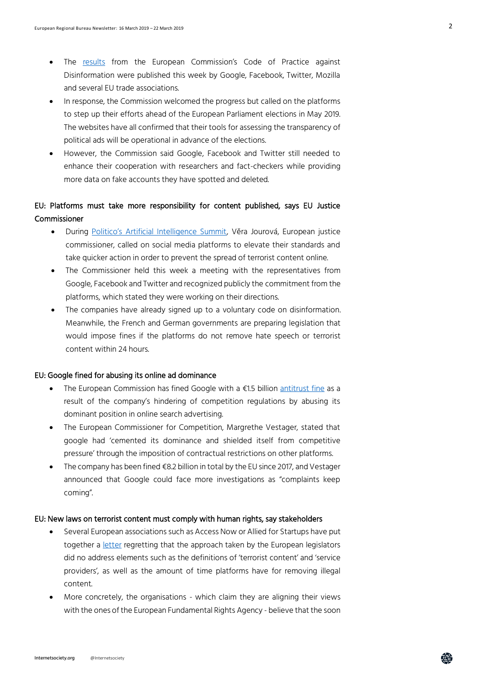- The [results](https://edpb.europa.eu/sites/edpb/files/files/file1/201903_edpb_statement_eprivacyregulation_en.pdf) from the European Commission's Code of Practice against Disinformation were published this week by Google, Facebook, Twitter, Mozilla and several EU trade associations.
- In response, the Commission welcomed the progress but called on the platforms to step up their efforts ahead of the European Parliament elections in May 2019. The websites have all confirmed that their tools for assessing the transparency of political ads will be operational in advance of the elections.
- However, the Commission said Google, Facebook and Twitter still needed to enhance their cooperation with researchers and fact-checkers while providing more data on fake accounts they have spotted and deleted.

# EU: Platforms must take more responsibility for content published, says EU Justice Commissioner

- During [Politico's Artificial Intelligence Summit,](https://diievents.dii.eu/ai-summit/) Věra Jourová, European justice commissioner, called on social media platforms to elevate their standards and take quicker action in order to prevent the spread of terrorist content online.
- The Commissioner held this week a meeting with the representatives from Google, Facebook and Twitter and recognized publicly the commitment from the platforms, which stated they were working on their directions.
- The companies have already signed up to a voluntary code on disinformation. Meanwhile, the French and German governments are preparing legislation that would impose fines if the platforms do not remove hate speech or terrorist content within 24 hours.

#### EU: Google fined for abusing its online ad dominance

- The European Commission has fined Google with a €1.5 billion [antitrust fine](https://edition.cnn.com/2019/03/20/tech/google-eu-antitrust/index.html) as a result of the company's hindering of competition regulations by abusing its dominant position in online search advertising.
- The European Commissioner for Competition, Margrethe Vestager, stated that google had 'cemented its dominance and shielded itself from competitive pressure' through the imposition of contractual restrictions on other platforms.
- The company has been fined €8.2 billion in total by the EU since 2017, and Vestager announced that Google could face more investigations as "complaints keep coming".

#### EU: New laws on terrorist content must comply with human rights, say stakeholders

- Several European associations such as Access Now or Allied for Startups have put together a [letter](http://www.ccianet.org/wp-content/uploads/2019/03/Terrorist-Content-Open-Letter-15032019-clean.pdf) regretting that the approach taken by the European legislators did no address elements such as the definitions of 'terrorist content' and 'service providers', as well as the amount of time platforms have for removing illegal content.
- More concretely, the organisations which claim they are aligning their views with the ones of the European Fundamental Rights Agency - believe that the soon